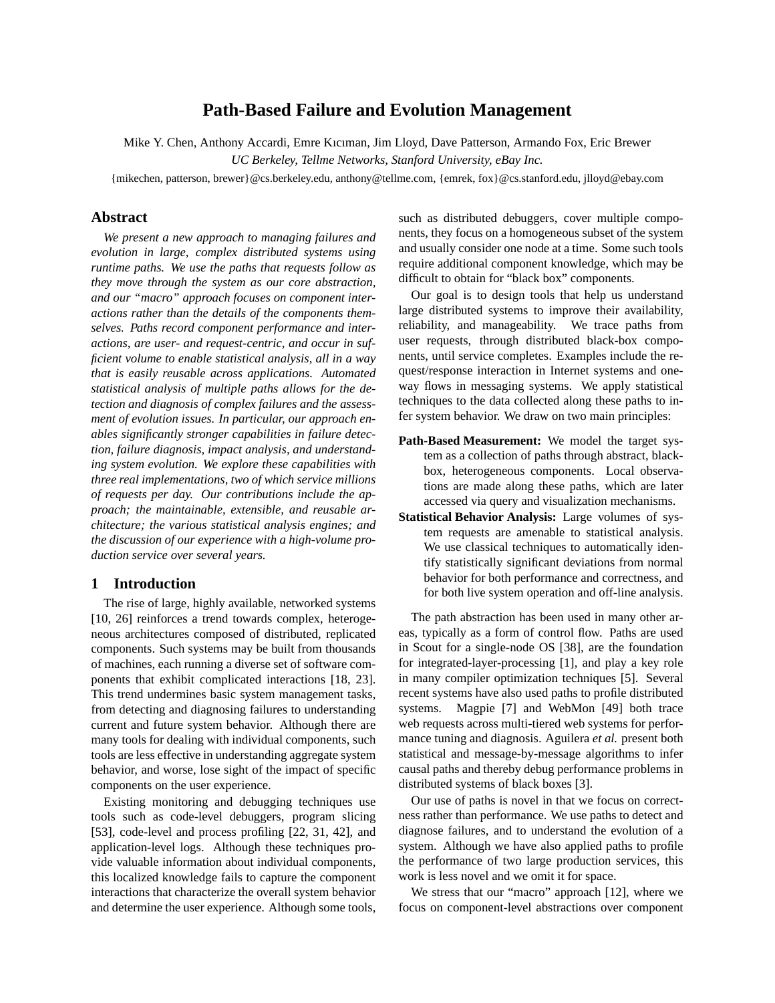# **Path-Based Failure and Evolution Management**

Mike Y. Chen, Anthony Accardi, Emre Kıcıman, Jim Lloyd, Dave Patterson, Armando Fox, Eric Brewer *UC Berkeley, Tellme Networks, Stanford University, eBay Inc.*

{mikechen, patterson, brewer}@cs.berkeley.edu, anthony@tellme.com, {emrek, fox}@cs.stanford.edu, jlloyd@ebay.com

### **Abstract**

*We present a new approach to managing failures and evolution in large, complex distributed systems using runtime paths. We use the paths that requests follow as they move through the system as our core abstraction, and our "macro" approach focuses on component interactions rather than the details of the components themselves. Paths record component performance and interactions, are user- and request-centric, and occur in sufficient volume to enable statistical analysis, all in a way that is easily reusable across applications. Automated statistical analysis of multiple paths allows for the detection and diagnosis of complex failures and the assessment of evolution issues. In particular, our approach enables significantly stronger capabilities in failure detection, failure diagnosis, impact analysis, and understanding system evolution. We explore these capabilities with three real implementations, two of which service millions of requests per day. Our contributions include the approach; the maintainable, extensible, and reusable architecture; the various statistical analysis engines; and the discussion of our experience with a high-volume production service over several years.*

### **1 Introduction**

The rise of large, highly available, networked systems [10, 26] reinforces a trend towards complex, heterogeneous architectures composed of distributed, replicated components. Such systems may be built from thousands of machines, each running a diverse set of software components that exhibit complicated interactions [18, 23]. This trend undermines basic system management tasks, from detecting and diagnosing failures to understanding current and future system behavior. Although there are many tools for dealing with individual components, such tools are less effective in understanding aggregate system behavior, and worse, lose sight of the impact of specific components on the user experience.

Existing monitoring and debugging techniques use tools such as code-level debuggers, program slicing [53], code-level and process profiling [22, 31, 42], and application-level logs. Although these techniques provide valuable information about individual components, this localized knowledge fails to capture the component interactions that characterize the overall system behavior and determine the user experience. Although some tools, such as distributed debuggers, cover multiple components, they focus on a homogeneous subset of the system and usually consider one node at a time. Some such tools require additional component knowledge, which may be difficult to obtain for "black box" components.

Our goal is to design tools that help us understand large distributed systems to improve their availability, reliability, and manageability. We trace paths from user requests, through distributed black-box components, until service completes. Examples include the request/response interaction in Internet systems and oneway flows in messaging systems. We apply statistical techniques to the data collected along these paths to infer system behavior. We draw on two main principles:

- **Path-Based Measurement:** We model the target system as a collection of paths through abstract, blackbox, heterogeneous components. Local observations are made along these paths, which are later accessed via query and visualization mechanisms.
- **Statistical Behavior Analysis:** Large volumes of system requests are amenable to statistical analysis. We use classical techniques to automatically identify statistically significant deviations from normal behavior for both performance and correctness, and for both live system operation and off-line analysis.

The path abstraction has been used in many other areas, typically as a form of control flow. Paths are used in Scout for a single-node OS [38], are the foundation for integrated-layer-processing [1], and play a key role in many compiler optimization techniques [5]. Several recent systems have also used paths to profile distributed systems. Magpie [7] and WebMon [49] both trace web requests across multi-tiered web systems for performance tuning and diagnosis. Aguilera *et al.* present both statistical and message-by-message algorithms to infer causal paths and thereby debug performance problems in distributed systems of black boxes [3].

Our use of paths is novel in that we focus on correctness rather than performance. We use paths to detect and diagnose failures, and to understand the evolution of a system. Although we have also applied paths to profile the performance of two large production services, this work is less novel and we omit it for space.

We stress that our "macro" approach [12], where we focus on component-level abstractions over component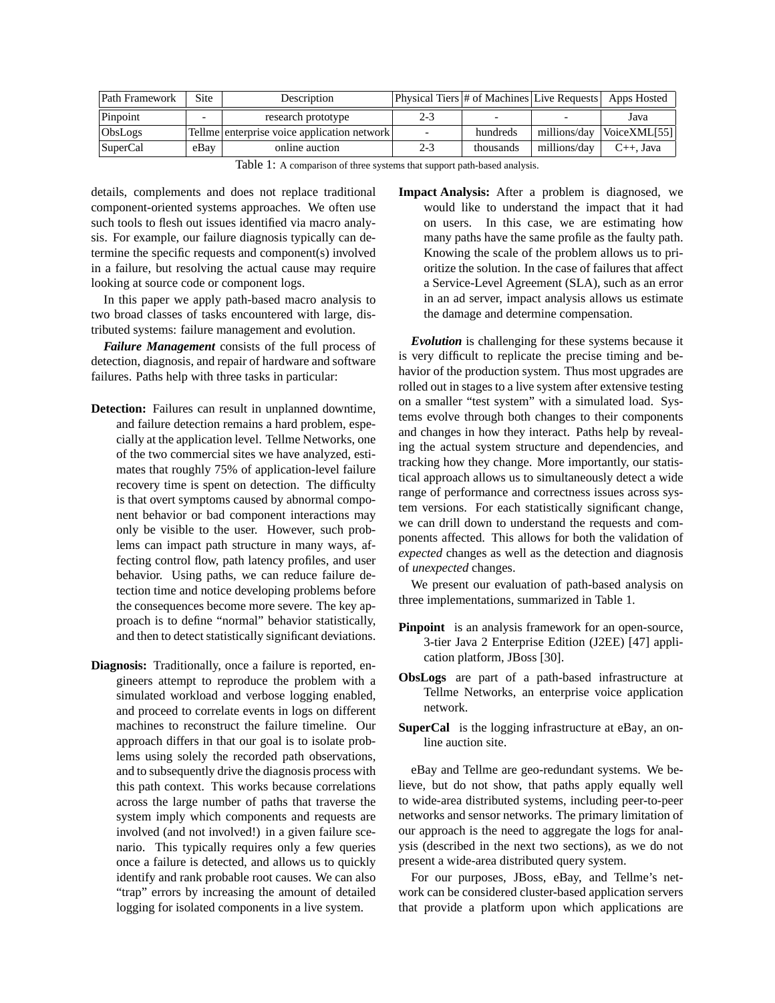| Path Framework | Site | Description                                 |         | Physical Tiers # of Machines Live Requests Apps Hosted |              |                 |
|----------------|------|---------------------------------------------|---------|--------------------------------------------------------|--------------|-----------------|
| Pinpoint       |      | research prototype                          | $2 - 3$ |                                                        |              | Java            |
| ObsLogs        |      | Tellme enterprise voice application network |         | hundreds                                               | millions/day | VoiceXML[55]    |
| SuperCal       | eBay | online auction                              | $2 - 3$ | thousands                                              | millions/day | $C_{++}$ . Java |

Table 1: A comparison of three systems that support path-based analysis.

details, complements and does not replace traditional component-oriented systems approaches. We often use such tools to flesh out issues identified via macro analysis. For example, our failure diagnosis typically can determine the specific requests and component(s) involved in a failure, but resolving the actual cause may require looking at source code or component logs.

In this paper we apply path-based macro analysis to two broad classes of tasks encountered with large, distributed systems: failure management and evolution.

*Failure Management* consists of the full process of detection, diagnosis, and repair of hardware and software failures. Paths help with three tasks in particular:

- **Detection:** Failures can result in unplanned downtime, and failure detection remains a hard problem, especially at the application level. Tellme Networks, one of the two commercial sites we have analyzed, estimates that roughly 75% of application-level failure recovery time is spent on detection. The difficulty is that overt symptoms caused by abnormal component behavior or bad component interactions may only be visible to the user. However, such problems can impact path structure in many ways, affecting control flow, path latency profiles, and user behavior. Using paths, we can reduce failure detection time and notice developing problems before the consequences become more severe. The key approach is to define "normal" behavior statistically, and then to detect statistically significant deviations.
- **Diagnosis:** Traditionally, once a failure is reported, engineers attempt to reproduce the problem with a simulated workload and verbose logging enabled, and proceed to correlate events in logs on different machines to reconstruct the failure timeline. Our approach differs in that our goal is to isolate problems using solely the recorded path observations, and to subsequently drive the diagnosis process with this path context. This works because correlations across the large number of paths that traverse the system imply which components and requests are involved (and not involved!) in a given failure scenario. This typically requires only a few queries once a failure is detected, and allows us to quickly identify and rank probable root causes. We can also "trap" errors by increasing the amount of detailed logging for isolated components in a live system.

**Impact Analysis:** After a problem is diagnosed, we would like to understand the impact that it had on users. In this case, we are estimating how many paths have the same profile as the faulty path. Knowing the scale of the problem allows us to prioritize the solution. In the case of failures that affect a Service-Level Agreement (SLA), such as an error in an ad server, impact analysis allows us estimate the damage and determine compensation.

*Evolution* is challenging for these systems because it is very difficult to replicate the precise timing and behavior of the production system. Thus most upgrades are rolled out in stages to a live system after extensive testing on a smaller "test system" with a simulated load. Systems evolve through both changes to their components and changes in how they interact. Paths help by revealing the actual system structure and dependencies, and tracking how they change. More importantly, our statistical approach allows us to simultaneously detect a wide range of performance and correctness issues across system versions. For each statistically significant change, we can drill down to understand the requests and components affected. This allows for both the validation of *expected* changes as well as the detection and diagnosis of *unexpected* changes.

We present our evaluation of path-based analysis on three implementations, summarized in Table 1.

- **Pinpoint** is an analysis framework for an open-source, 3-tier Java 2 Enterprise Edition (J2EE) [47] application platform, JBoss [30].
- **ObsLogs** are part of a path-based infrastructure at Tellme Networks, an enterprise voice application network.
- **SuperCal** is the logging infrastructure at eBay, an online auction site.

eBay and Tellme are geo-redundant systems. We believe, but do not show, that paths apply equally well to wide-area distributed systems, including peer-to-peer networks and sensor networks. The primary limitation of our approach is the need to aggregate the logs for analysis (described in the next two sections), as we do not present a wide-area distributed query system.

For our purposes, JBoss, eBay, and Tellme's network can be considered cluster-based application servers that provide a platform upon which applications are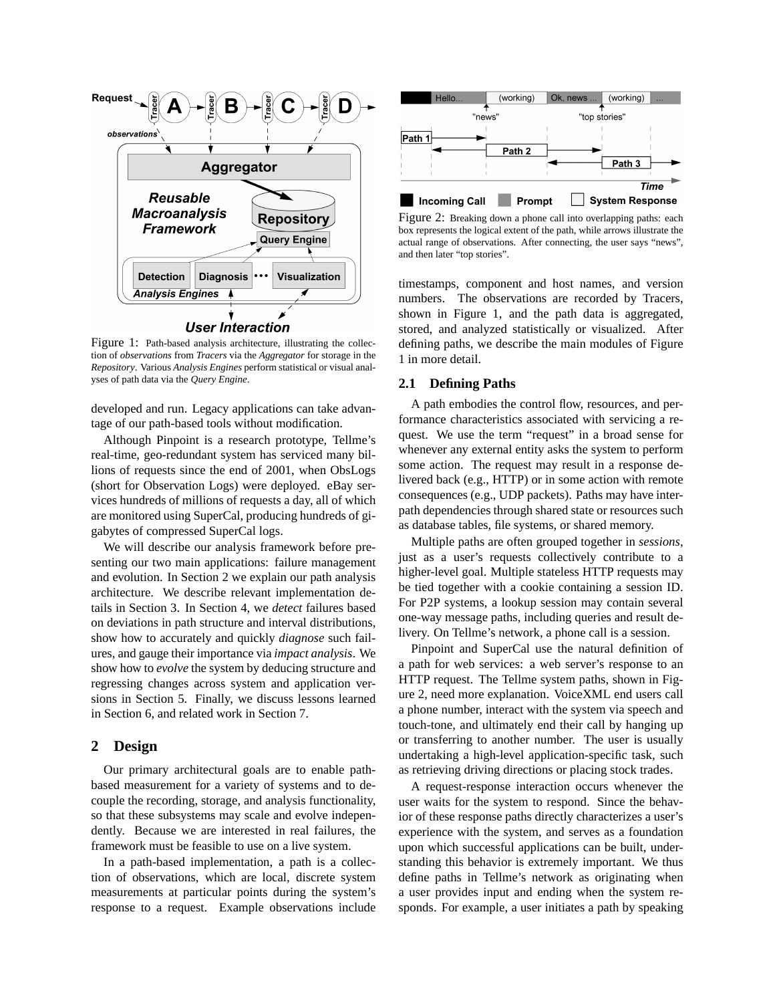

Figure 1: Path-based analysis architecture, illustrating the collection of *observations* from *Tracers* via the *Aggregator* for storage in the *Repository*. Various *Analysis Engines* perform statistical or visual analyses of path data via the *Query Engine*.

developed and run. Legacy applications can take advantage of our path-based tools without modification.

Although Pinpoint is a research prototype, Tellme's real-time, geo-redundant system has serviced many billions of requests since the end of 2001, when ObsLogs (short for Observation Logs) were deployed. eBay services hundreds of millions of requests a day, all of which are monitored using SuperCal, producing hundreds of gigabytes of compressed SuperCal logs.

We will describe our analysis framework before presenting our two main applications: failure management and evolution. In Section 2 we explain our path analysis architecture. We describe relevant implementation details in Section 3. In Section 4, we *detect* failures based on deviations in path structure and interval distributions, show how to accurately and quickly *diagnose* such failures, and gauge their importance via *impact analysis*. We show how to *evolve* the system by deducing structure and regressing changes across system and application versions in Section 5. Finally, we discuss lessons learned in Section 6, and related work in Section 7.

## **2 Design**

Our primary architectural goals are to enable pathbased measurement for a variety of systems and to decouple the recording, storage, and analysis functionality, so that these subsystems may scale and evolve independently. Because we are interested in real failures, the framework must be feasible to use on a live system.

In a path-based implementation, a path is a collection of observations, which are local, discrete system measurements at particular points during the system's response to a request. Example observations include



Figure 2: Breaking down a phone call into overlapping paths: each box represents the logical extent of the path, while arrows illustrate the actual range of observations. After connecting, the user says "news", and then later "top stories".

timestamps, component and host names, and version numbers. The observations are recorded by Tracers, shown in Figure 1, and the path data is aggregated, stored, and analyzed statistically or visualized. After defining paths, we describe the main modules of Figure 1 in more detail.

#### **2.1 Defining Paths**

A path embodies the control flow, resources, and performance characteristics associated with servicing a request. We use the term "request" in a broad sense for whenever any external entity asks the system to perform some action. The request may result in a response delivered back (e.g., HTTP) or in some action with remote consequences (e.g., UDP packets). Paths may have interpath dependencies through shared state or resources such as database tables, file systems, or shared memory.

Multiple paths are often grouped together in *sessions*, just as a user's requests collectively contribute to a higher-level goal. Multiple stateless HTTP requests may be tied together with a cookie containing a session ID. For P2P systems, a lookup session may contain several one-way message paths, including queries and result delivery. On Tellme's network, a phone call is a session.

Pinpoint and SuperCal use the natural definition of a path for web services: a web server's response to an HTTP request. The Tellme system paths, shown in Figure 2, need more explanation. VoiceXML end users call a phone number, interact with the system via speech and touch-tone, and ultimately end their call by hanging up or transferring to another number. The user is usually undertaking a high-level application-specific task, such as retrieving driving directions or placing stock trades.

A request-response interaction occurs whenever the user waits for the system to respond. Since the behavior of these response paths directly characterizes a user's experience with the system, and serves as a foundation upon which successful applications can be built, understanding this behavior is extremely important. We thus define paths in Tellme's network as originating when a user provides input and ending when the system responds. For example, a user initiates a path by speaking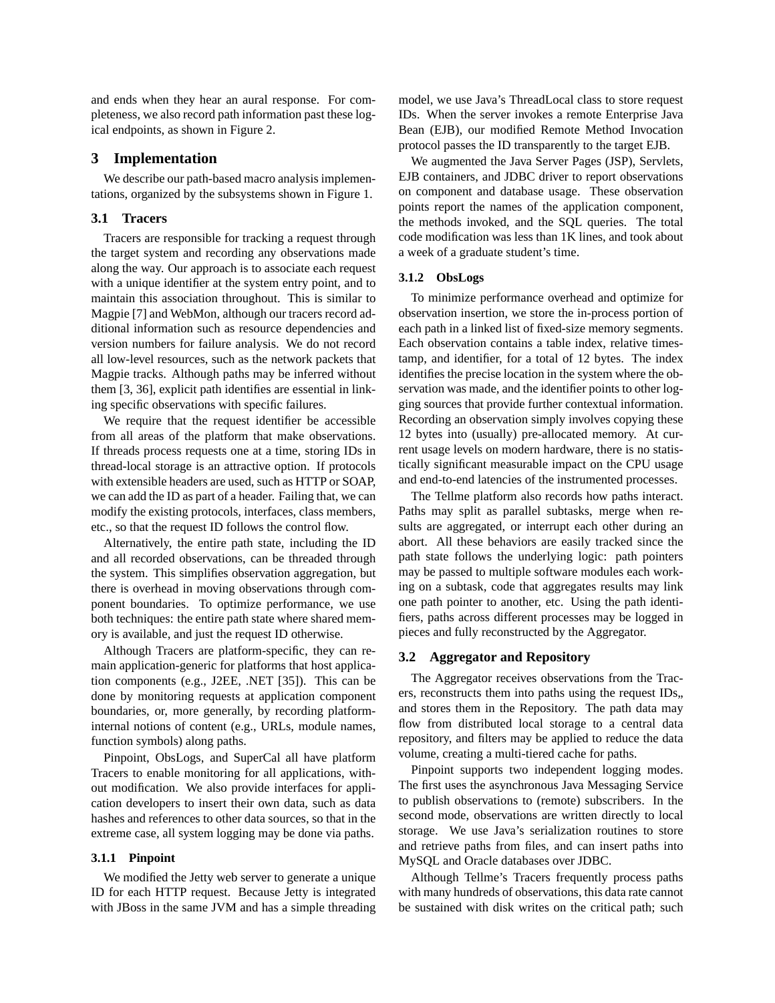and ends when they hear an aural response. For completeness, we also record path information past these logical endpoints, as shown in Figure 2.

### **3 Implementation**

We describe our path-based macro analysis implementations, organized by the subsystems shown in Figure 1.

### **3.1 Tracers**

Tracers are responsible for tracking a request through the target system and recording any observations made along the way. Our approach is to associate each request with a unique identifier at the system entry point, and to maintain this association throughout. This is similar to Magpie [7] and WebMon, although our tracers record additional information such as resource dependencies and version numbers for failure analysis. We do not record all low-level resources, such as the network packets that Magpie tracks. Although paths may be inferred without them [3, 36], explicit path identifies are essential in linking specific observations with specific failures.

We require that the request identifier be accessible from all areas of the platform that make observations. If threads process requests one at a time, storing IDs in thread-local storage is an attractive option. If protocols with extensible headers are used, such as HTTP or SOAP, we can add the ID as part of a header. Failing that, we can modify the existing protocols, interfaces, class members, etc., so that the request ID follows the control flow.

Alternatively, the entire path state, including the ID and all recorded observations, can be threaded through the system. This simplifies observation aggregation, but there is overhead in moving observations through component boundaries. To optimize performance, we use both techniques: the entire path state where shared memory is available, and just the request ID otherwise.

Although Tracers are platform-specific, they can remain application-generic for platforms that host application components (e.g., J2EE, .NET [35]). This can be done by monitoring requests at application component boundaries, or, more generally, by recording platforminternal notions of content (e.g., URLs, module names, function symbols) along paths.

Pinpoint, ObsLogs, and SuperCal all have platform Tracers to enable monitoring for all applications, without modification. We also provide interfaces for application developers to insert their own data, such as data hashes and references to other data sources, so that in the extreme case, all system logging may be done via paths.

#### **3.1.1 Pinpoint**

We modified the Jetty web server to generate a unique ID for each HTTP request. Because Jetty is integrated with JBoss in the same JVM and has a simple threading model, we use Java's ThreadLocal class to store request IDs. When the server invokes a remote Enterprise Java Bean (EJB), our modified Remote Method Invocation protocol passes the ID transparently to the target EJB.

We augmented the Java Server Pages (JSP), Servlets, EJB containers, and JDBC driver to report observations on component and database usage. These observation points report the names of the application component, the methods invoked, and the SQL queries. The total code modification was less than 1K lines, and took about a week of a graduate student's time.

#### **3.1.2 ObsLogs**

To minimize performance overhead and optimize for observation insertion, we store the in-process portion of each path in a linked list of fixed-size memory segments. Each observation contains a table index, relative timestamp, and identifier, for a total of 12 bytes. The index identifies the precise location in the system where the observation was made, and the identifier points to other logging sources that provide further contextual information. Recording an observation simply involves copying these 12 bytes into (usually) pre-allocated memory. At current usage levels on modern hardware, there is no statistically significant measurable impact on the CPU usage and end-to-end latencies of the instrumented processes.

The Tellme platform also records how paths interact. Paths may split as parallel subtasks, merge when results are aggregated, or interrupt each other during an abort. All these behaviors are easily tracked since the path state follows the underlying logic: path pointers may be passed to multiple software modules each working on a subtask, code that aggregates results may link one path pointer to another, etc. Using the path identifiers, paths across different processes may be logged in pieces and fully reconstructed by the Aggregator.

#### **3.2 Aggregator and Repository**

The Aggregator receives observations from the Tracers, reconstructs them into paths using the request IDs,, and stores them in the Repository. The path data may flow from distributed local storage to a central data repository, and filters may be applied to reduce the data volume, creating a multi-tiered cache for paths.

Pinpoint supports two independent logging modes. The first uses the asynchronous Java Messaging Service to publish observations to (remote) subscribers. In the second mode, observations are written directly to local storage. We use Java's serialization routines to store and retrieve paths from files, and can insert paths into MySQL and Oracle databases over JDBC.

Although Tellme's Tracers frequently process paths with many hundreds of observations, this data rate cannot be sustained with disk writes on the critical path; such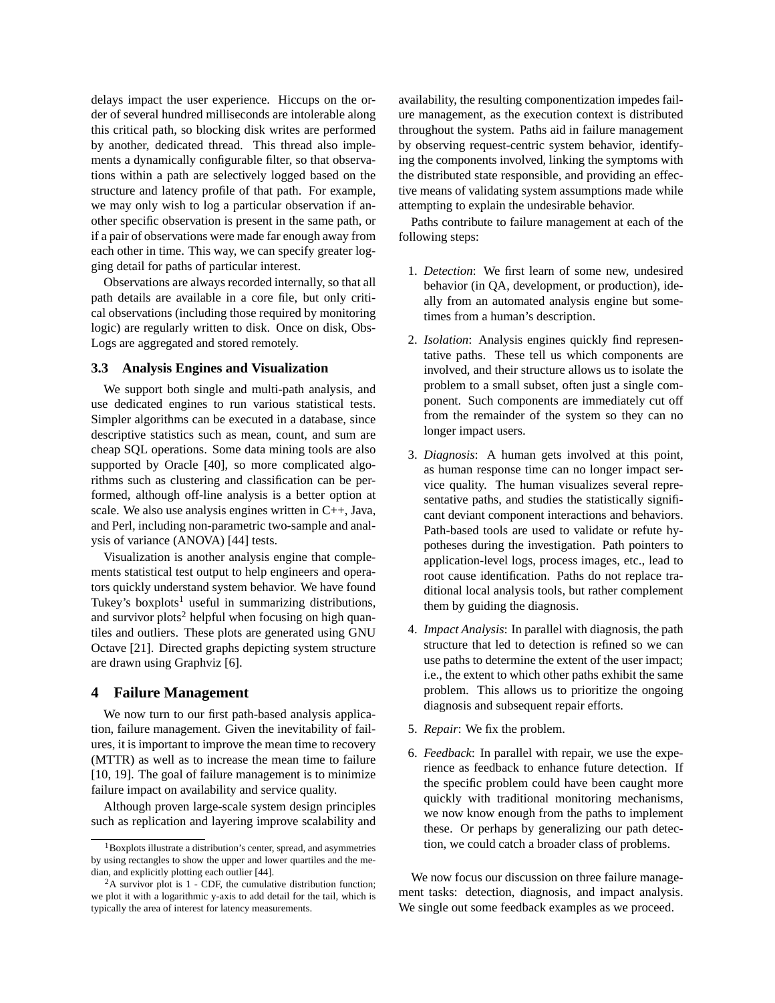delays impact the user experience. Hiccups on the order of several hundred milliseconds are intolerable along this critical path, so blocking disk writes are performed by another, dedicated thread. This thread also implements a dynamically configurable filter, so that observations within a path are selectively logged based on the structure and latency profile of that path. For example, we may only wish to log a particular observation if another specific observation is present in the same path, or if a pair of observations were made far enough away from each other in time. This way, we can specify greater logging detail for paths of particular interest.

Observations are always recorded internally, so that all path details are available in a core file, but only critical observations (including those required by monitoring logic) are regularly written to disk. Once on disk, Obs-Logs are aggregated and stored remotely.

### **3.3 Analysis Engines and Visualization**

We support both single and multi-path analysis, and use dedicated engines to run various statistical tests. Simpler algorithms can be executed in a database, since descriptive statistics such as mean, count, and sum are cheap SQL operations. Some data mining tools are also supported by Oracle [40], so more complicated algorithms such as clustering and classification can be performed, although off-line analysis is a better option at scale. We also use analysis engines written in C++, Java, and Perl, including non-parametric two-sample and analysis of variance (ANOVA) [44] tests.

Visualization is another analysis engine that complements statistical test output to help engineers and operators quickly understand system behavior. We have found Tukey's boxplots<sup>1</sup> useful in summarizing distributions, and survivor plots<sup>2</sup> helpful when focusing on high quantiles and outliers. These plots are generated using GNU Octave [21]. Directed graphs depicting system structure are drawn using Graphviz [6].

### **4 Failure Management**

We now turn to our first path-based analysis application, failure management. Given the inevitability of failures, it is important to improve the mean time to recovery (MTTR) as well as to increase the mean time to failure [10, 19]. The goal of failure management is to minimize failure impact on availability and service quality.

Although proven large-scale system design principles such as replication and layering improve scalability and availability, the resulting componentization impedes failure management, as the execution context is distributed throughout the system. Paths aid in failure management by observing request-centric system behavior, identifying the components involved, linking the symptoms with the distributed state responsible, and providing an effective means of validating system assumptions made while attempting to explain the undesirable behavior.

Paths contribute to failure management at each of the following steps:

- 1. *Detection*: We first learn of some new, undesired behavior (in QA, development, or production), ideally from an automated analysis engine but sometimes from a human's description.
- 2. *Isolation*: Analysis engines quickly find representative paths. These tell us which components are involved, and their structure allows us to isolate the problem to a small subset, often just a single component. Such components are immediately cut off from the remainder of the system so they can no longer impact users.
- 3. *Diagnosis*: A human gets involved at this point, as human response time can no longer impact service quality. The human visualizes several representative paths, and studies the statistically significant deviant component interactions and behaviors. Path-based tools are used to validate or refute hypotheses during the investigation. Path pointers to application-level logs, process images, etc., lead to root cause identification. Paths do not replace traditional local analysis tools, but rather complement them by guiding the diagnosis.
- 4. *Impact Analysis*: In parallel with diagnosis, the path structure that led to detection is refined so we can use paths to determine the extent of the user impact; i.e., the extent to which other paths exhibit the same problem. This allows us to prioritize the ongoing diagnosis and subsequent repair efforts.
- 5. *Repair*: We fix the problem.
- 6. *Feedback*: In parallel with repair, we use the experience as feedback to enhance future detection. If the specific problem could have been caught more quickly with traditional monitoring mechanisms, we now know enough from the paths to implement these. Or perhaps by generalizing our path detection, we could catch a broader class of problems.

We now focus our discussion on three failure management tasks: detection, diagnosis, and impact analysis. We single out some feedback examples as we proceed.

 $1$ Boxplots illustrate a distribution's center, spread, and asymmetries by using rectangles to show the upper and lower quartiles and the median, and explicitly plotting each outlier [44].

 $2A$  survivor plot is 1 - CDF, the cumulative distribution function; we plot it with a logarithmic y-axis to add detail for the tail, which is typically the area of interest for latency measurements.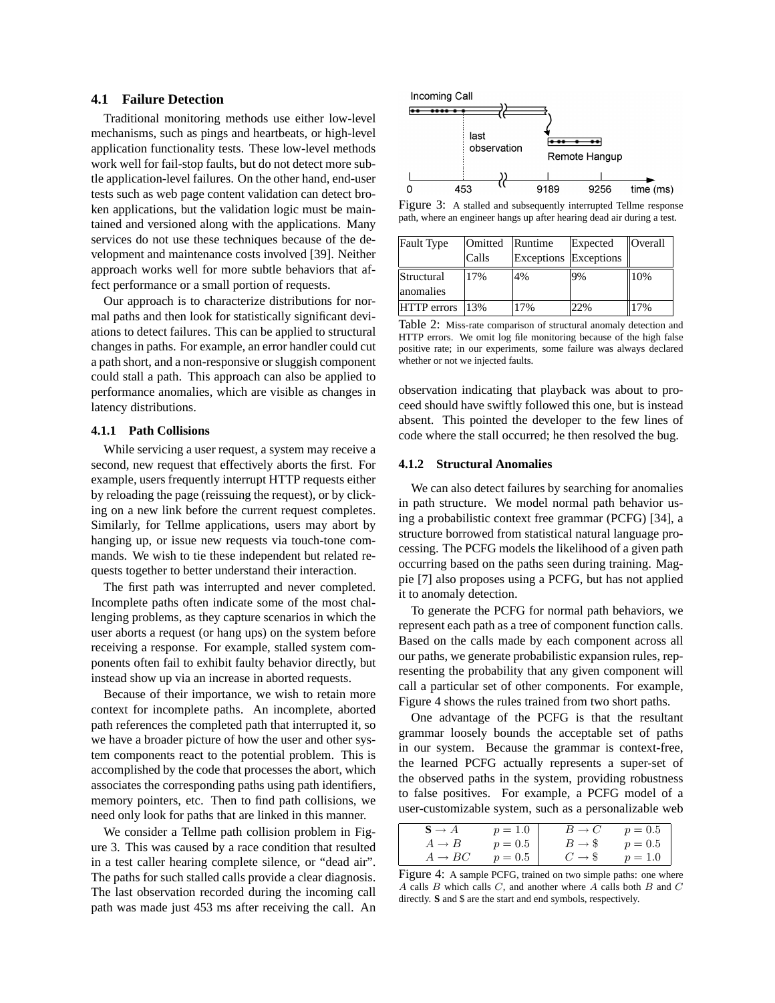### **4.1 Failure Detection**

Traditional monitoring methods use either low-level mechanisms, such as pings and heartbeats, or high-level application functionality tests. These low-level methods work well for fail-stop faults, but do not detect more subtle application-level failures. On the other hand, end-user tests such as web page content validation can detect broken applications, but the validation logic must be maintained and versioned along with the applications. Many services do not use these techniques because of the development and maintenance costs involved [39]. Neither approach works well for more subtle behaviors that affect performance or a small portion of requests.

Our approach is to characterize distributions for normal paths and then look for statistically significant deviations to detect failures. This can be applied to structural changes in paths. For example, an error handler could cut a path short, and a non-responsive or sluggish component could stall a path. This approach can also be applied to performance anomalies, which are visible as changes in latency distributions.

#### **4.1.1 Path Collisions**

While servicing a user request, a system may receive a second, new request that effectively aborts the first. For example, users frequently interrupt HTTP requests either by reloading the page (reissuing the request), or by clicking on a new link before the current request completes. Similarly, for Tellme applications, users may abort by hanging up, or issue new requests via touch-tone commands. We wish to tie these independent but related requests together to better understand their interaction.

The first path was interrupted and never completed. Incomplete paths often indicate some of the most challenging problems, as they capture scenarios in which the user aborts a request (or hang ups) on the system before receiving a response. For example, stalled system components often fail to exhibit faulty behavior directly, but instead show up via an increase in aborted requests.

Because of their importance, we wish to retain more context for incomplete paths. An incomplete, aborted path references the completed path that interrupted it, so we have a broader picture of how the user and other system components react to the potential problem. This is accomplished by the code that processes the abort, which associates the corresponding paths using path identifiers, memory pointers, etc. Then to find path collisions, we need only look for paths that are linked in this manner.

We consider a Tellme path collision problem in Figure 3. This was caused by a race condition that resulted in a test caller hearing complete silence, or "dead air". The paths for such stalled calls provide a clear diagnosis. The last observation recorded during the incoming call path was made just 453 ms after receiving the call. An



Figure 3: A stalled and subsequently interrupted Tellme response path, where an engineer hangs up after hearing dead air during a test.

| Fault Type  | Omitted | Runtime<br>Expected   |     | $ $ Overall |
|-------------|---------|-----------------------|-----|-------------|
|             | Calls   | Exceptions Exceptions |     |             |
| Structural  | 17%     | 4%                    | 9%  | 10%         |
| lanomalies  |         |                       |     |             |
| HTTP errors | 13%     | 7%                    | 22% | 17%         |

Table 2: Miss-rate comparison of structural anomaly detection and HTTP errors. We omit log file monitoring because of the high false positive rate; in our experiments, some failure was always declared whether or not we injected faults.

observation indicating that playback was about to proceed should have swiftly followed this one, but is instead absent. This pointed the developer to the few lines of code where the stall occurred; he then resolved the bug.

#### **4.1.2 Structural Anomalies**

We can also detect failures by searching for anomalies in path structure. We model normal path behavior using a probabilistic context free grammar (PCFG) [34], a structure borrowed from statistical natural language processing. The PCFG models the likelihood of a given path occurring based on the paths seen during training. Magpie [7] also proposes using a PCFG, but has not applied it to anomaly detection.

To generate the PCFG for normal path behaviors, we represent each path as a tree of component function calls. Based on the calls made by each component across all our paths, we generate probabilistic expansion rules, representing the probability that any given component will call a particular set of other components. For example, Figure 4 shows the rules trained from two short paths.

One advantage of the PCFG is that the resultant grammar loosely bounds the acceptable set of paths in our system. Because the grammar is context-free, the learned PCFG actually represents a super-set of the observed paths in the system, providing robustness to false positives. For example, a PCFG model of a user-customizable system, such as a personalizable web

| $S \to A$          | $p = 1.0$ | $B \to C$          | $p = 0.5$ |
|--------------------|-----------|--------------------|-----------|
| $A \rightarrow B$  | $p=0.5$   | $B \rightarrow \$$ | $p = 0.5$ |
| $A \rightarrow BC$ | $p = 0.5$ | $C \rightarrow$ \$ | $p = 1.0$ |

Figure 4: A sample PCFG, trained on two simple paths: one where  $A$  calls  $B$  which calls  $C$ , and another where  $A$  calls both  $B$  and  $C$ directly. **S** and \$ are the start and end symbols, respectively.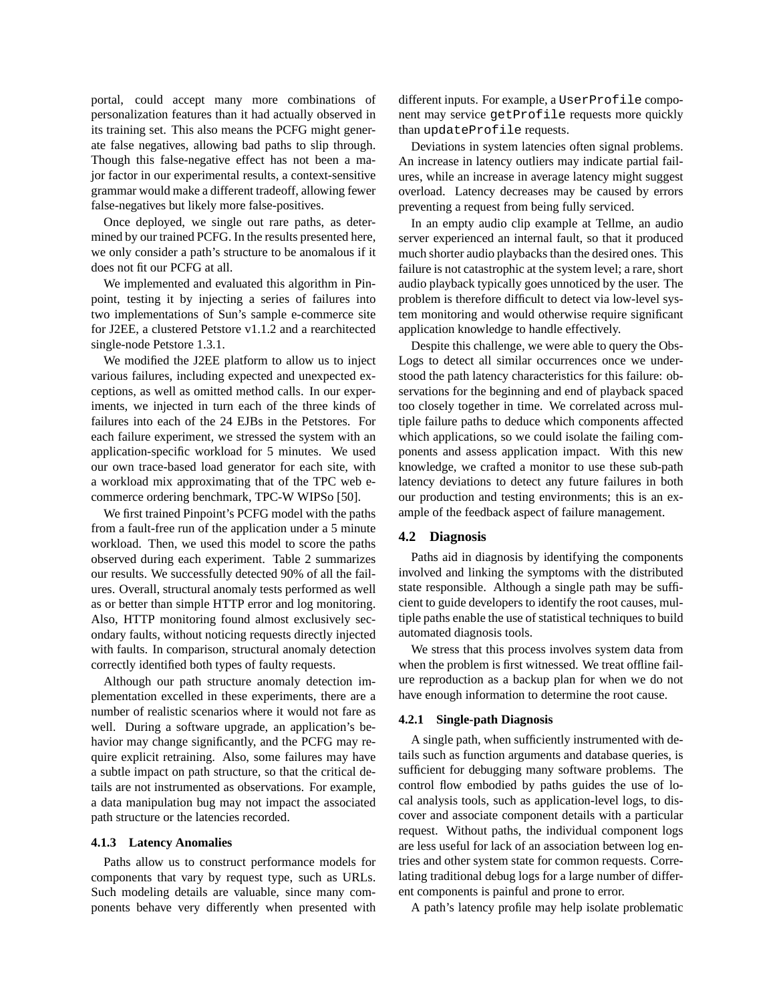portal, could accept many more combinations of personalization features than it had actually observed in its training set. This also means the PCFG might generate false negatives, allowing bad paths to slip through. Though this false-negative effect has not been a major factor in our experimental results, a context-sensitive grammar would make a different tradeoff, allowing fewer false-negatives but likely more false-positives.

Once deployed, we single out rare paths, as determined by our trained PCFG. In the results presented here, we only consider a path's structure to be anomalous if it does not fit our PCFG at all.

We implemented and evaluated this algorithm in Pinpoint, testing it by injecting a series of failures into two implementations of Sun's sample e-commerce site for J2EE, a clustered Petstore v1.1.2 and a rearchitected single-node Petstore 1.3.1.

We modified the J2EE platform to allow us to inject various failures, including expected and unexpected exceptions, as well as omitted method calls. In our experiments, we injected in turn each of the three kinds of failures into each of the 24 EJBs in the Petstores. For each failure experiment, we stressed the system with an application-specific workload for 5 minutes. We used our own trace-based load generator for each site, with a workload mix approximating that of the TPC web ecommerce ordering benchmark, TPC-W WIPSo [50].

We first trained Pinpoint's PCFG model with the paths from a fault-free run of the application under a 5 minute workload. Then, we used this model to score the paths observed during each experiment. Table 2 summarizes our results. We successfully detected 90% of all the failures. Overall, structural anomaly tests performed as well as or better than simple HTTP error and log monitoring. Also, HTTP monitoring found almost exclusively secondary faults, without noticing requests directly injected with faults. In comparison, structural anomaly detection correctly identified both types of faulty requests.

Although our path structure anomaly detection implementation excelled in these experiments, there are a number of realistic scenarios where it would not fare as well. During a software upgrade, an application's behavior may change significantly, and the PCFG may require explicit retraining. Also, some failures may have a subtle impact on path structure, so that the critical details are not instrumented as observations. For example, a data manipulation bug may not impact the associated path structure or the latencies recorded.

#### **4.1.3 Latency Anomalies**

Paths allow us to construct performance models for components that vary by request type, such as URLs. Such modeling details are valuable, since many components behave very differently when presented with different inputs. For example, a UserProfile component may service getProfile requests more quickly than updateProfile requests.

Deviations in system latencies often signal problems. An increase in latency outliers may indicate partial failures, while an increase in average latency might suggest overload. Latency decreases may be caused by errors preventing a request from being fully serviced.

In an empty audio clip example at Tellme, an audio server experienced an internal fault, so that it produced much shorter audio playbacks than the desired ones. This failure is not catastrophic at the system level; a rare, short audio playback typically goes unnoticed by the user. The problem is therefore difficult to detect via low-level system monitoring and would otherwise require significant application knowledge to handle effectively.

Despite this challenge, we were able to query the Obs-Logs to detect all similar occurrences once we understood the path latency characteristics for this failure: observations for the beginning and end of playback spaced too closely together in time. We correlated across multiple failure paths to deduce which components affected which applications, so we could isolate the failing components and assess application impact. With this new knowledge, we crafted a monitor to use these sub-path latency deviations to detect any future failures in both our production and testing environments; this is an example of the feedback aspect of failure management.

#### **4.2 Diagnosis**

Paths aid in diagnosis by identifying the components involved and linking the symptoms with the distributed state responsible. Although a single path may be sufficient to guide developers to identify the root causes, multiple paths enable the use of statistical techniques to build automated diagnosis tools.

We stress that this process involves system data from when the problem is first witnessed. We treat offline failure reproduction as a backup plan for when we do not have enough information to determine the root cause.

#### **4.2.1 Single-path Diagnosis**

A single path, when sufficiently instrumented with details such as function arguments and database queries, is sufficient for debugging many software problems. The control flow embodied by paths guides the use of local analysis tools, such as application-level logs, to discover and associate component details with a particular request. Without paths, the individual component logs are less useful for lack of an association between log entries and other system state for common requests. Correlating traditional debug logs for a large number of different components is painful and prone to error.

A path's latency profile may help isolate problematic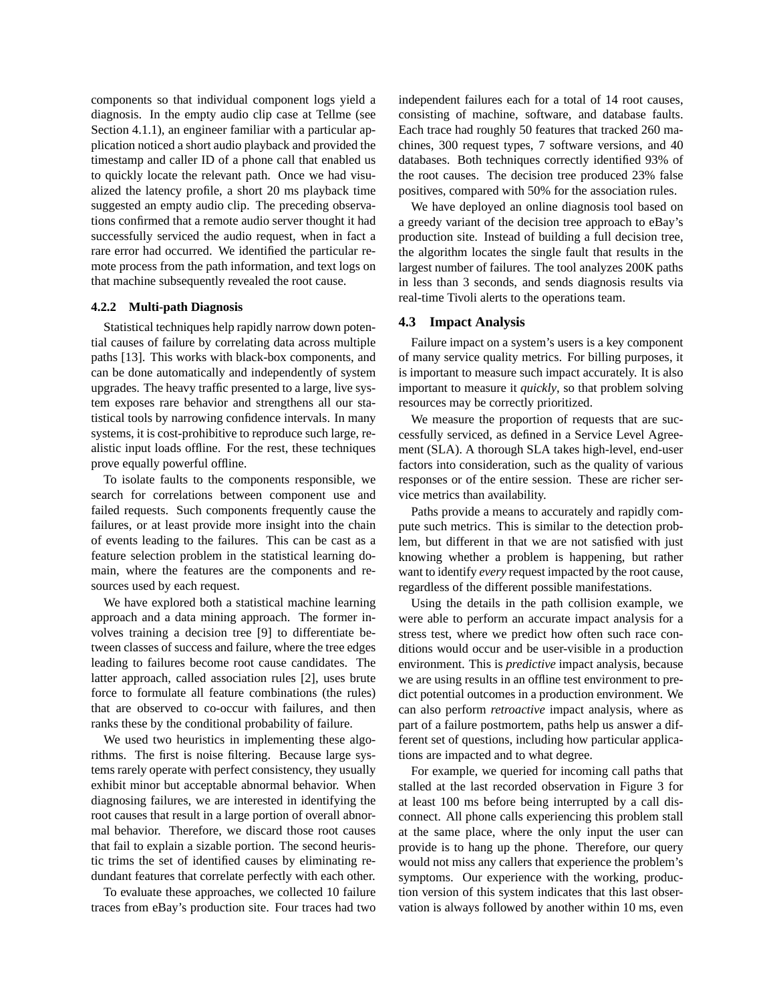components so that individual component logs yield a diagnosis. In the empty audio clip case at Tellme (see Section 4.1.1), an engineer familiar with a particular application noticed a short audio playback and provided the timestamp and caller ID of a phone call that enabled us to quickly locate the relevant path. Once we had visualized the latency profile, a short 20 ms playback time suggested an empty audio clip. The preceding observations confirmed that a remote audio server thought it had successfully serviced the audio request, when in fact a rare error had occurred. We identified the particular remote process from the path information, and text logs on that machine subsequently revealed the root cause.

#### **4.2.2 Multi-path Diagnosis**

Statistical techniques help rapidly narrow down potential causes of failure by correlating data across multiple paths [13]. This works with black-box components, and can be done automatically and independently of system upgrades. The heavy traffic presented to a large, live system exposes rare behavior and strengthens all our statistical tools by narrowing confidence intervals. In many systems, it is cost-prohibitive to reproduce such large, realistic input loads offline. For the rest, these techniques prove equally powerful offline.

To isolate faults to the components responsible, we search for correlations between component use and failed requests. Such components frequently cause the failures, or at least provide more insight into the chain of events leading to the failures. This can be cast as a feature selection problem in the statistical learning domain, where the features are the components and resources used by each request.

We have explored both a statistical machine learning approach and a data mining approach. The former involves training a decision tree [9] to differentiate between classes of success and failure, where the tree edges leading to failures become root cause candidates. The latter approach, called association rules [2], uses brute force to formulate all feature combinations (the rules) that are observed to co-occur with failures, and then ranks these by the conditional probability of failure.

We used two heuristics in implementing these algorithms. The first is noise filtering. Because large systems rarely operate with perfect consistency, they usually exhibit minor but acceptable abnormal behavior. When diagnosing failures, we are interested in identifying the root causes that result in a large portion of overall abnormal behavior. Therefore, we discard those root causes that fail to explain a sizable portion. The second heuristic trims the set of identified causes by eliminating redundant features that correlate perfectly with each other.

To evaluate these approaches, we collected 10 failure traces from eBay's production site. Four traces had two independent failures each for a total of 14 root causes, consisting of machine, software, and database faults. Each trace had roughly 50 features that tracked 260 machines, 300 request types, 7 software versions, and 40 databases. Both techniques correctly identified 93% of the root causes. The decision tree produced 23% false positives, compared with 50% for the association rules.

We have deployed an online diagnosis tool based on a greedy variant of the decision tree approach to eBay's production site. Instead of building a full decision tree, the algorithm locates the single fault that results in the largest number of failures. The tool analyzes 200K paths in less than 3 seconds, and sends diagnosis results via real-time Tivoli alerts to the operations team.

#### **4.3 Impact Analysis**

Failure impact on a system's users is a key component of many service quality metrics. For billing purposes, it is important to measure such impact accurately. It is also important to measure it *quickly*, so that problem solving resources may be correctly prioritized.

We measure the proportion of requests that are successfully serviced, as defined in a Service Level Agreement (SLA). A thorough SLA takes high-level, end-user factors into consideration, such as the quality of various responses or of the entire session. These are richer service metrics than availability.

Paths provide a means to accurately and rapidly compute such metrics. This is similar to the detection problem, but different in that we are not satisfied with just knowing whether a problem is happening, but rather want to identify *every* request impacted by the root cause, regardless of the different possible manifestations.

Using the details in the path collision example, we were able to perform an accurate impact analysis for a stress test, where we predict how often such race conditions would occur and be user-visible in a production environment. This is *predictive* impact analysis, because we are using results in an offline test environment to predict potential outcomes in a production environment. We can also perform *retroactive* impact analysis, where as part of a failure postmortem, paths help us answer a different set of questions, including how particular applications are impacted and to what degree.

For example, we queried for incoming call paths that stalled at the last recorded observation in Figure 3 for at least 100 ms before being interrupted by a call disconnect. All phone calls experiencing this problem stall at the same place, where the only input the user can provide is to hang up the phone. Therefore, our query would not miss any callers that experience the problem's symptoms. Our experience with the working, production version of this system indicates that this last observation is always followed by another within 10 ms, even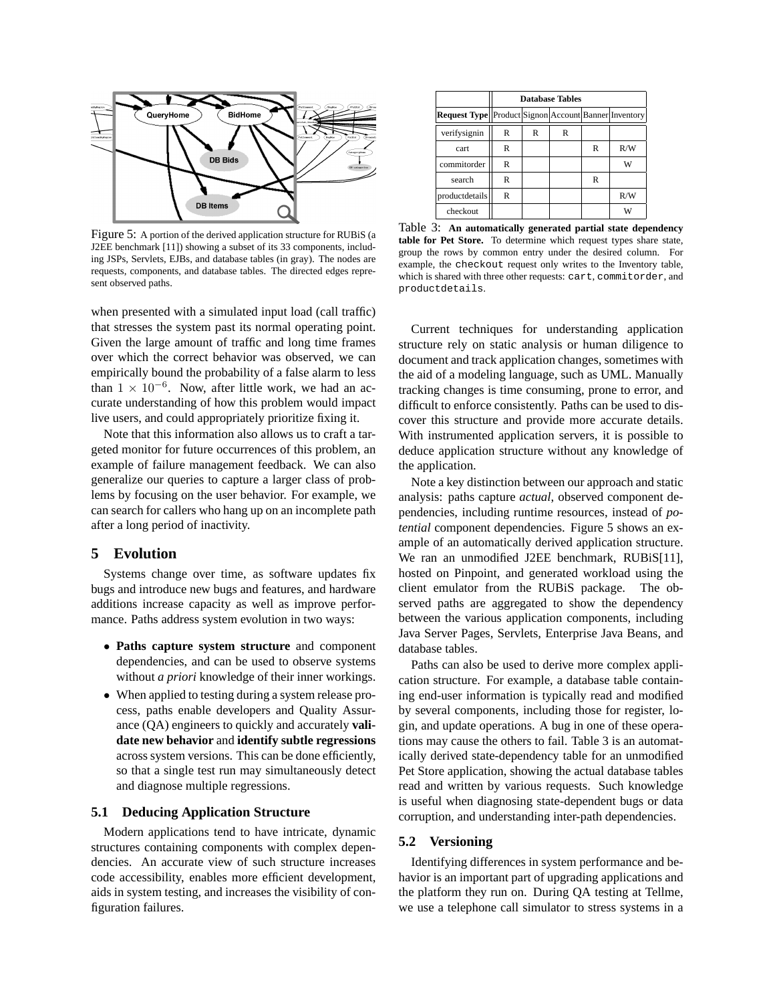

Figure 5: A portion of the derived application structure for RUBiS (a J2EE benchmark [11]) showing a subset of its 33 components, including JSPs, Servlets, EJBs, and database tables (in gray). The nodes are requests, components, and database tables. The directed edges represent observed paths.

when presented with a simulated input load (call traffic) that stresses the system past its normal operating point. Given the large amount of traffic and long time frames over which the correct behavior was observed, we can empirically bound the probability of a false alarm to less than  $1 \times 10^{-6}$ . Now, after little work, we had an accurate understanding of how this problem would impact live users, and could appropriately prioritize fixing it.

Note that this information also allows us to craft a targeted monitor for future occurrences of this problem, an example of failure management feedback. We can also generalize our queries to capture a larger class of problems by focusing on the user behavior. For example, we can search for callers who hang up on an incomplete path after a long period of inactivity.

### **5 Evolution**

Systems change over time, as software updates fix bugs and introduce new bugs and features, and hardware additions increase capacity as well as improve performance. Paths address system evolution in two ways:

- **Paths capture system structure** and component dependencies, and can be used to observe systems without *a priori* knowledge of their inner workings.
- When applied to testing during a system release process, paths enable developers and Quality Assurance (QA) engineers to quickly and accurately **validate new behavior** and **identify subtle regressions** across system versions. This can be done efficiently, so that a single test run may simultaneously detect and diagnose multiple regressions.

#### **5.1 Deducing Application Structure**

Modern applications tend to have intricate, dynamic structures containing components with complex dependencies. An accurate view of such structure increases code accessibility, enables more efficient development, aids in system testing, and increases the visibility of configuration failures.

|                                                       | <b>Database Tables</b> |   |   |   |     |
|-------------------------------------------------------|------------------------|---|---|---|-----|
| Request Type  Product Signon Account Banner Inventory |                        |   |   |   |     |
| verifysignin                                          | R                      | R | R |   |     |
| cart                                                  | R                      |   |   | R | R/W |
| commitorder                                           | R                      |   |   |   | W   |
| search                                                | R                      |   |   | R |     |
| productdetails                                        | R                      |   |   |   | R/W |
| checkout                                              |                        |   |   |   | W   |

Table 3: **An automatically generated partial state dependency table for Pet Store.** To determine which request types share state, group the rows by common entry under the desired column. For example, the checkout request only writes to the Inventory table, which is shared with three other requests: cart, commitorder, and productdetails.

Current techniques for understanding application structure rely on static analysis or human diligence to document and track application changes, sometimes with the aid of a modeling language, such as UML. Manually tracking changes is time consuming, prone to error, and difficult to enforce consistently. Paths can be used to discover this structure and provide more accurate details. With instrumented application servers, it is possible to deduce application structure without any knowledge of the application.

Note a key distinction between our approach and static analysis: paths capture *actual*, observed component dependencies, including runtime resources, instead of *potential* component dependencies. Figure 5 shows an example of an automatically derived application structure. We ran an unmodified J2EE benchmark, RUBiS[11], hosted on Pinpoint, and generated workload using the client emulator from the RUBiS package. The observed paths are aggregated to show the dependency between the various application components, including Java Server Pages, Servlets, Enterprise Java Beans, and database tables.

Paths can also be used to derive more complex application structure. For example, a database table containing end-user information is typically read and modified by several components, including those for register, login, and update operations. A bug in one of these operations may cause the others to fail. Table 3 is an automatically derived state-dependency table for an unmodified Pet Store application, showing the actual database tables read and written by various requests. Such knowledge is useful when diagnosing state-dependent bugs or data corruption, and understanding inter-path dependencies.

### **5.2 Versioning**

Identifying differences in system performance and behavior is an important part of upgrading applications and the platform they run on. During QA testing at Tellme, we use a telephone call simulator to stress systems in a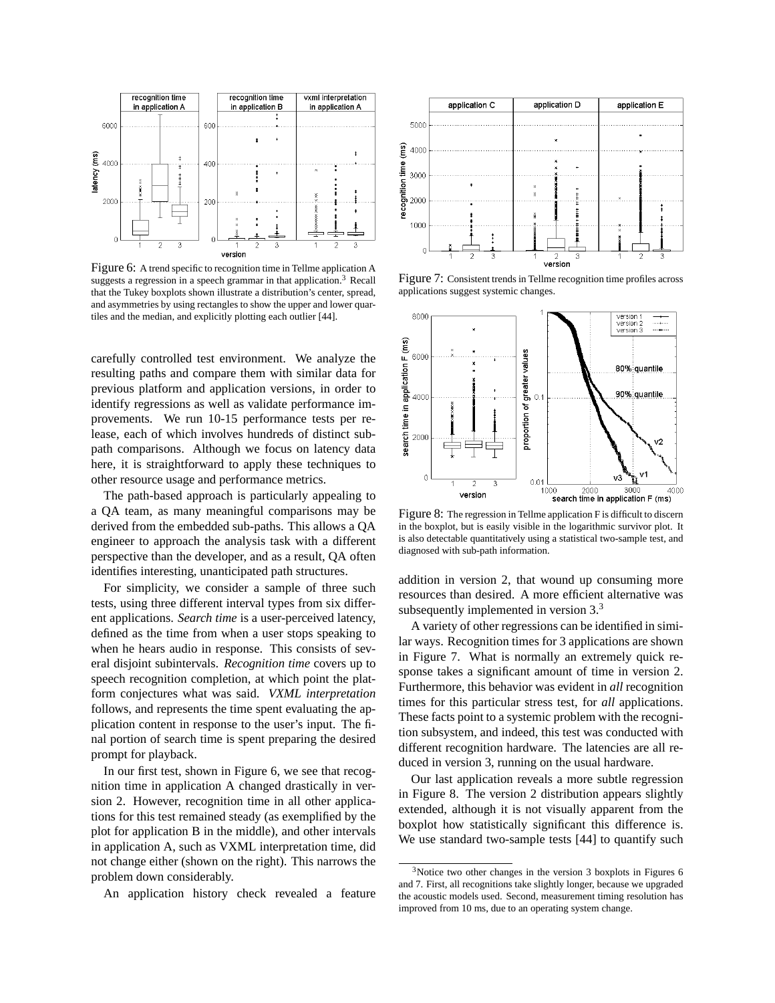

Figure 6: A trend specific to recognition time in Tellme application A suggests a regression in a speech grammar in that application.<sup>3</sup> Recall that the Tukey boxplots shown illustrate a distribution's center, spread, and asymmetries by using rectangles to show the upper and lower quartiles and the median, and explicitly plotting each outlier [44].

carefully controlled test environment. We analyze the resulting paths and compare them with similar data for previous platform and application versions, in order to identify regressions as well as validate performance improvements. We run 10-15 performance tests per release, each of which involves hundreds of distinct subpath comparisons. Although we focus on latency data here, it is straightforward to apply these techniques to other resource usage and performance metrics.

The path-based approach is particularly appealing to a QA team, as many meaningful comparisons may be derived from the embedded sub-paths. This allows a QA engineer to approach the analysis task with a different perspective than the developer, and as a result, QA often identifies interesting, unanticipated path structures.

For simplicity, we consider a sample of three such tests, using three different interval types from six different applications. *Search time* is a user-perceived latency, defined as the time from when a user stops speaking to when he hears audio in response. This consists of several disjoint subintervals. *Recognition time* covers up to speech recognition completion, at which point the platform conjectures what was said. *VXML interpretation* follows, and represents the time spent evaluating the application content in response to the user's input. The final portion of search time is spent preparing the desired prompt for playback.

In our first test, shown in Figure 6, we see that recognition time in application A changed drastically in version 2. However, recognition time in all other applications for this test remained steady (as exemplified by the plot for application B in the middle), and other intervals in application A, such as VXML interpretation time, did not change either (shown on the right). This narrows the problem down considerably.

An application history check revealed a feature



Figure 7: Consistent trends in Tellme recognition time profiles across applications suggest systemic changes.



Figure 8: The regression in Tellme application F is difficult to discern in the boxplot, but is easily visible in the logarithmic survivor plot. It is also detectable quantitatively using a statistical two-sample test, and diagnosed with sub-path information.

addition in version 2, that wound up consuming more resources than desired. A more efficient alternative was subsequently implemented in version 3.<sup>3</sup>

A variety of other regressions can be identified in similar ways. Recognition times for 3 applications are shown in Figure 7. What is normally an extremely quick response takes a significant amount of time in version 2. Furthermore, this behavior was evident in *all* recognition times for this particular stress test, for *all* applications. These facts point to a systemic problem with the recognition subsystem, and indeed, this test was conducted with different recognition hardware. The latencies are all reduced in version 3, running on the usual hardware.

Our last application reveals a more subtle regression in Figure 8. The version 2 distribution appears slightly extended, although it is not visually apparent from the boxplot how statistically significant this difference is. We use standard two-sample tests [44] to quantify such

<sup>3</sup>Notice two other changes in the version 3 boxplots in Figures 6 and 7. First, all recognitions take slightly longer, because we upgraded the acoustic models used. Second, measurement timing resolution has improved from 10 ms, due to an operating system change.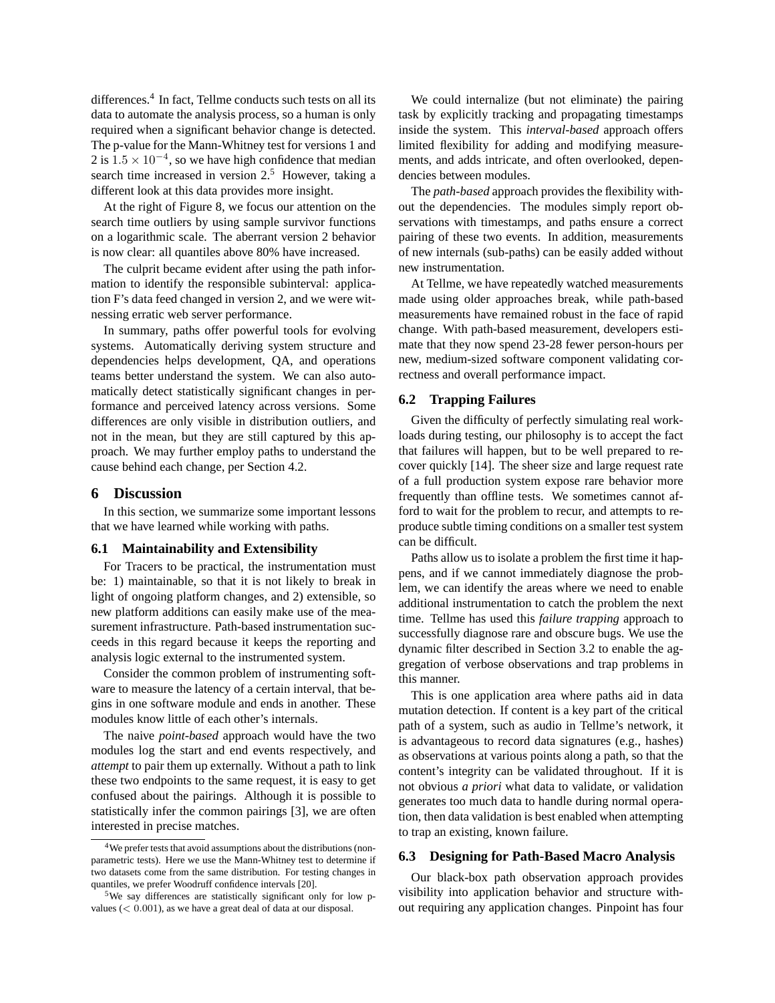differences.<sup>4</sup> In fact, Tellme conducts such tests on all its data to automate the analysis process, so a human is only required when a significant behavior change is detected. The p-value for the Mann-Whitney test for versions 1 and 2 is  $1.5 \times 10^{-4}$ , so we have high confidence that median search time increased in version  $2<sup>5</sup>$ . However, taking a different look at this data provides more insight.

At the right of Figure 8, we focus our attention on the search time outliers by using sample survivor functions on a logarithmic scale. The aberrant version 2 behavior is now clear: all quantiles above 80% have increased.

The culprit became evident after using the path information to identify the responsible subinterval: application F's data feed changed in version 2, and we were witnessing erratic web server performance.

In summary, paths offer powerful tools for evolving systems. Automatically deriving system structure and dependencies helps development, QA, and operations teams better understand the system. We can also automatically detect statistically significant changes in performance and perceived latency across versions. Some differences are only visible in distribution outliers, and not in the mean, but they are still captured by this approach. We may further employ paths to understand the cause behind each change, per Section 4.2.

### **6 Discussion**

In this section, we summarize some important lessons that we have learned while working with paths.

#### **6.1 Maintainability and Extensibility**

For Tracers to be practical, the instrumentation must be: 1) maintainable, so that it is not likely to break in light of ongoing platform changes, and 2) extensible, so new platform additions can easily make use of the measurement infrastructure. Path-based instrumentation succeeds in this regard because it keeps the reporting and analysis logic external to the instrumented system.

Consider the common problem of instrumenting software to measure the latency of a certain interval, that begins in one software module and ends in another. These modules know little of each other's internals.

The naive *point-based* approach would have the two modules log the start and end events respectively, and *attempt* to pair them up externally. Without a path to link these two endpoints to the same request, it is easy to get confused about the pairings. Although it is possible to statistically infer the common pairings [3], we are often interested in precise matches.

We could internalize (but not eliminate) the pairing task by explicitly tracking and propagating timestamps inside the system. This *interval-based* approach offers limited flexibility for adding and modifying measurements, and adds intricate, and often overlooked, dependencies between modules.

The *path-based* approach provides the flexibility without the dependencies. The modules simply report observations with timestamps, and paths ensure a correct pairing of these two events. In addition, measurements of new internals (sub-paths) can be easily added without new instrumentation.

At Tellme, we have repeatedly watched measurements made using older approaches break, while path-based measurements have remained robust in the face of rapid change. With path-based measurement, developers estimate that they now spend 23-28 fewer person-hours per new, medium-sized software component validating correctness and overall performance impact.

#### **6.2 Trapping Failures**

Given the difficulty of perfectly simulating real workloads during testing, our philosophy is to accept the fact that failures will happen, but to be well prepared to recover quickly [14]. The sheer size and large request rate of a full production system expose rare behavior more frequently than offline tests. We sometimes cannot afford to wait for the problem to recur, and attempts to reproduce subtle timing conditions on a smaller test system can be difficult.

Paths allow us to isolate a problem the first time it happens, and if we cannot immediately diagnose the problem, we can identify the areas where we need to enable additional instrumentation to catch the problem the next time. Tellme has used this *failure trapping* approach to successfully diagnose rare and obscure bugs. We use the dynamic filter described in Section 3.2 to enable the aggregation of verbose observations and trap problems in this manner.

This is one application area where paths aid in data mutation detection. If content is a key part of the critical path of a system, such as audio in Tellme's network, it is advantageous to record data signatures (e.g., hashes) as observations at various points along a path, so that the content's integrity can be validated throughout. If it is not obvious *a priori* what data to validate, or validation generates too much data to handle during normal operation, then data validation is best enabled when attempting to trap an existing, known failure.

## **6.3 Designing for Path-Based Macro Analysis**

Our black-box path observation approach provides visibility into application behavior and structure without requiring any application changes. Pinpoint has four

<sup>&</sup>lt;sup>4</sup>We prefer tests that avoid assumptions about the distributions (nonparametric tests). Here we use the Mann-Whitney test to determine if two datasets come from the same distribution. For testing changes in quantiles, we prefer Woodruff confidence intervals [20].

<sup>5</sup>We say differences are statistically significant only for low pvalues  $(< 0.001$ ), as we have a great deal of data at our disposal.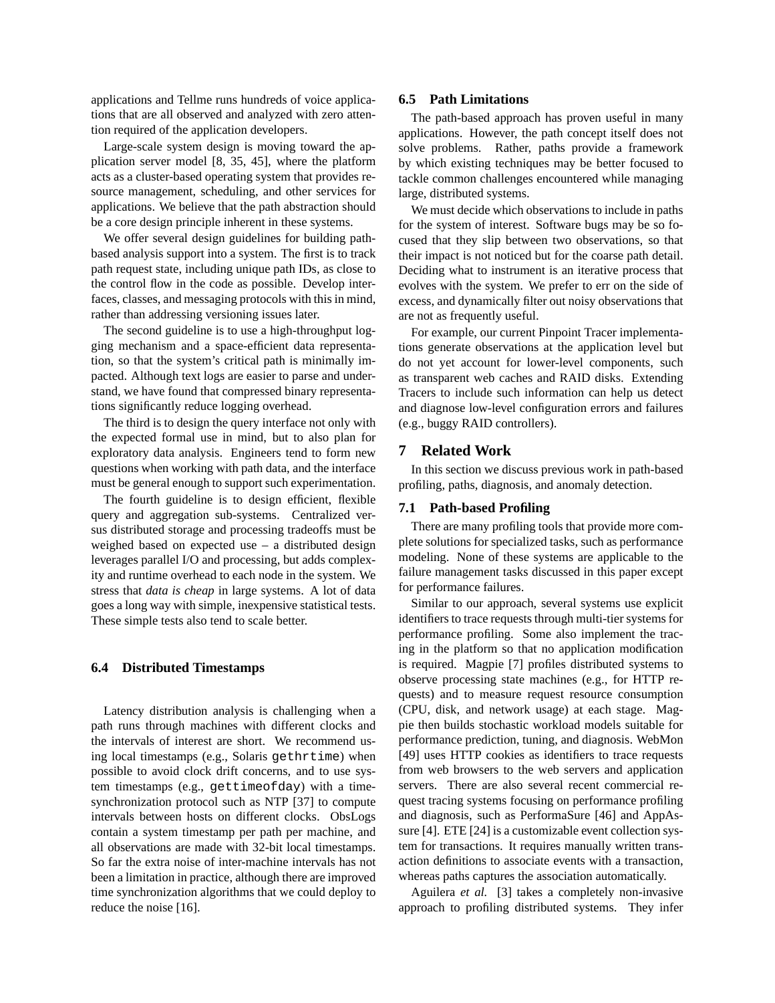applications and Tellme runs hundreds of voice applications that are all observed and analyzed with zero attention required of the application developers.

Large-scale system design is moving toward the application server model [8, 35, 45], where the platform acts as a cluster-based operating system that provides resource management, scheduling, and other services for applications. We believe that the path abstraction should be a core design principle inherent in these systems.

We offer several design guidelines for building pathbased analysis support into a system. The first is to track path request state, including unique path IDs, as close to the control flow in the code as possible. Develop interfaces, classes, and messaging protocols with this in mind, rather than addressing versioning issues later.

The second guideline is to use a high-throughput logging mechanism and a space-efficient data representation, so that the system's critical path is minimally impacted. Although text logs are easier to parse and understand, we have found that compressed binary representations significantly reduce logging overhead.

The third is to design the query interface not only with the expected formal use in mind, but to also plan for exploratory data analysis. Engineers tend to form new questions when working with path data, and the interface must be general enough to support such experimentation.

The fourth guideline is to design efficient, flexible query and aggregation sub-systems. Centralized versus distributed storage and processing tradeoffs must be weighed based on expected use – a distributed design leverages parallel I/O and processing, but adds complexity and runtime overhead to each node in the system. We stress that *data is cheap* in large systems. A lot of data goes a long way with simple, inexpensive statistical tests. These simple tests also tend to scale better.

#### **6.4 Distributed Timestamps**

Latency distribution analysis is challenging when a path runs through machines with different clocks and the intervals of interest are short. We recommend using local timestamps (e.g., Solaris gethrtime) when possible to avoid clock drift concerns, and to use system timestamps (e.g., gettimeofday) with a timesynchronization protocol such as NTP [37] to compute intervals between hosts on different clocks. ObsLogs contain a system timestamp per path per machine, and all observations are made with 32-bit local timestamps. So far the extra noise of inter-machine intervals has not been a limitation in practice, although there are improved time synchronization algorithms that we could deploy to reduce the noise [16].

#### **6.5 Path Limitations**

The path-based approach has proven useful in many applications. However, the path concept itself does not solve problems. Rather, paths provide a framework by which existing techniques may be better focused to tackle common challenges encountered while managing large, distributed systems.

We must decide which observations to include in paths for the system of interest. Software bugs may be so focused that they slip between two observations, so that their impact is not noticed but for the coarse path detail. Deciding what to instrument is an iterative process that evolves with the system. We prefer to err on the side of excess, and dynamically filter out noisy observations that are not as frequently useful.

For example, our current Pinpoint Tracer implementations generate observations at the application level but do not yet account for lower-level components, such as transparent web caches and RAID disks. Extending Tracers to include such information can help us detect and diagnose low-level configuration errors and failures (e.g., buggy RAID controllers).

### **7 Related Work**

In this section we discuss previous work in path-based profiling, paths, diagnosis, and anomaly detection.

# **7.1 Path-based Profiling**

There are many profiling tools that provide more complete solutions for specialized tasks, such as performance modeling. None of these systems are applicable to the failure management tasks discussed in this paper except for performance failures.

Similar to our approach, several systems use explicit identifiers to trace requests through multi-tier systems for performance profiling. Some also implement the tracing in the platform so that no application modification is required. Magpie [7] profiles distributed systems to observe processing state machines (e.g., for HTTP requests) and to measure request resource consumption (CPU, disk, and network usage) at each stage. Magpie then builds stochastic workload models suitable for performance prediction, tuning, and diagnosis. WebMon [49] uses HTTP cookies as identifiers to trace requests from web browsers to the web servers and application servers. There are also several recent commercial request tracing systems focusing on performance profiling and diagnosis, such as PerformaSure [46] and AppAssure [4]. ETE [24] is a customizable event collection system for transactions. It requires manually written transaction definitions to associate events with a transaction, whereas paths captures the association automatically.

Aguilera *et al.* [3] takes a completely non-invasive approach to profiling distributed systems. They infer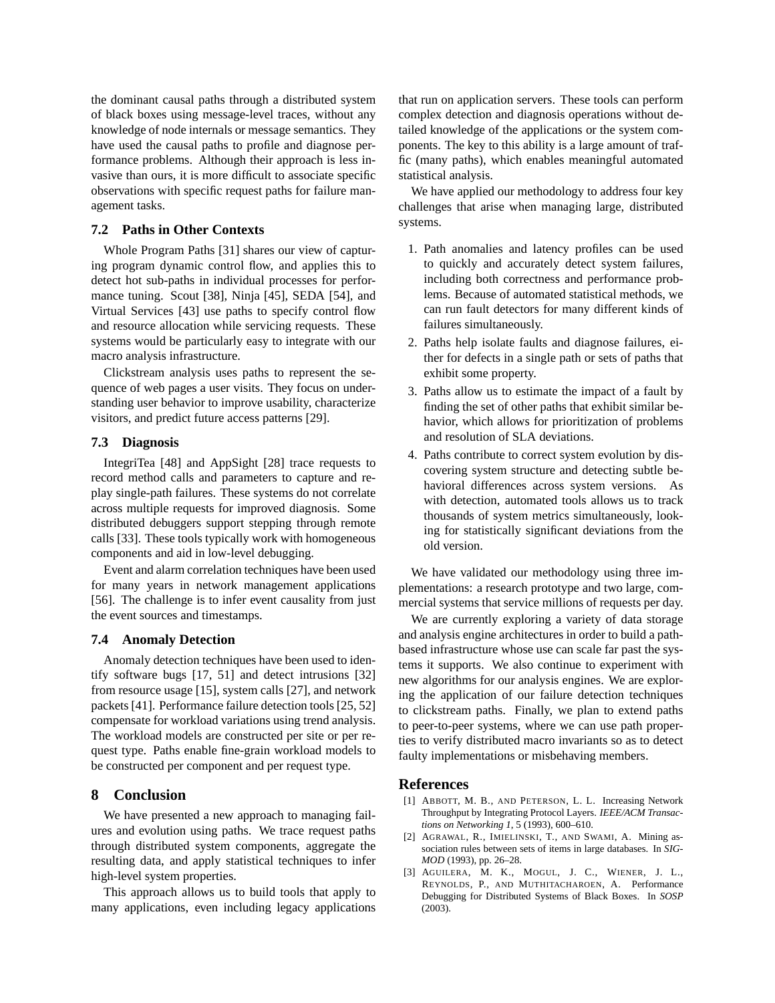the dominant causal paths through a distributed system of black boxes using message-level traces, without any knowledge of node internals or message semantics. They have used the causal paths to profile and diagnose performance problems. Although their approach is less invasive than ours, it is more difficult to associate specific observations with specific request paths for failure management tasks.

### **7.2 Paths in Other Contexts**

Whole Program Paths [31] shares our view of capturing program dynamic control flow, and applies this to detect hot sub-paths in individual processes for performance tuning. Scout [38], Ninja [45], SEDA [54], and Virtual Services [43] use paths to specify control flow and resource allocation while servicing requests. These systems would be particularly easy to integrate with our macro analysis infrastructure.

Clickstream analysis uses paths to represent the sequence of web pages a user visits. They focus on understanding user behavior to improve usability, characterize visitors, and predict future access patterns [29].

### **7.3 Diagnosis**

IntegriTea [48] and AppSight [28] trace requests to record method calls and parameters to capture and replay single-path failures. These systems do not correlate across multiple requests for improved diagnosis. Some distributed debuggers support stepping through remote calls [33]. These tools typically work with homogeneous components and aid in low-level debugging.

Event and alarm correlation techniques have been used for many years in network management applications [56]. The challenge is to infer event causality from just the event sources and timestamps.

### **7.4 Anomaly Detection**

Anomaly detection techniques have been used to identify software bugs [17, 51] and detect intrusions [32] from resource usage [15], system calls [27], and network packets [41]. Performance failure detection tools [25, 52] compensate for workload variations using trend analysis. The workload models are constructed per site or per request type. Paths enable fine-grain workload models to be constructed per component and per request type.

### **8 Conclusion**

We have presented a new approach to managing failures and evolution using paths. We trace request paths through distributed system components, aggregate the resulting data, and apply statistical techniques to infer high-level system properties.

This approach allows us to build tools that apply to many applications, even including legacy applications that run on application servers. These tools can perform complex detection and diagnosis operations without detailed knowledge of the applications or the system components. The key to this ability is a large amount of traffic (many paths), which enables meaningful automated statistical analysis.

We have applied our methodology to address four key challenges that arise when managing large, distributed systems.

- 1. Path anomalies and latency profiles can be used to quickly and accurately detect system failures, including both correctness and performance problems. Because of automated statistical methods, we can run fault detectors for many different kinds of failures simultaneously.
- 2. Paths help isolate faults and diagnose failures, either for defects in a single path or sets of paths that exhibit some property.
- 3. Paths allow us to estimate the impact of a fault by finding the set of other paths that exhibit similar behavior, which allows for prioritization of problems and resolution of SLA deviations.
- 4. Paths contribute to correct system evolution by discovering system structure and detecting subtle behavioral differences across system versions. As with detection, automated tools allows us to track thousands of system metrics simultaneously, looking for statistically significant deviations from the old version.

We have validated our methodology using three implementations: a research prototype and two large, commercial systems that service millions of requests per day.

We are currently exploring a variety of data storage and analysis engine architectures in order to build a pathbased infrastructure whose use can scale far past the systems it supports. We also continue to experiment with new algorithms for our analysis engines. We are exploring the application of our failure detection techniques to clickstream paths. Finally, we plan to extend paths to peer-to-peer systems, where we can use path properties to verify distributed macro invariants so as to detect faulty implementations or misbehaving members.

### **References**

- [1] ABBOTT, M. B., AND PETERSON, L. L. Increasing Network Throughput by Integrating Protocol Layers. *IEEE/ACM Transactions on Networking 1*, 5 (1993), 600–610.
- [2] AGRAWAL, R., IMIELINSKI, T., AND SWAMI, A. Mining association rules between sets of items in large databases. In *SIG-MOD* (1993), pp. 26–28.
- [3] AGUILERA, M. K., MOGUL, J. C., WIENER, J. L., REYNOLDS, P., AND MUTHITACHAROEN, A. Performance Debugging for Distributed Systems of Black Boxes. In *SOSP* (2003).